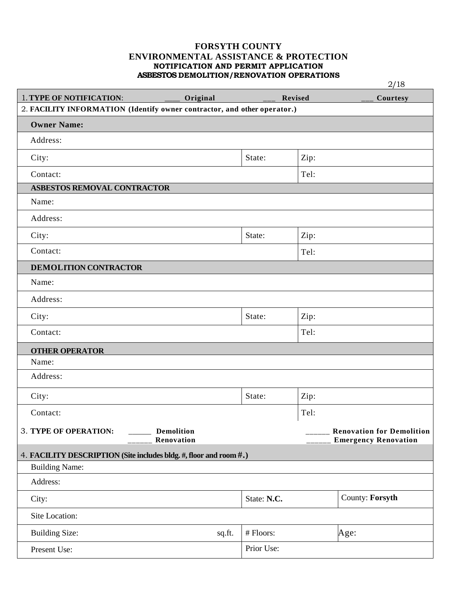# **FORSYTH COUNTY ENVIRONMENTAL ASSISTANCE & PROTECTION NOTIFICATION AND PERMIT APPLICATION ASBESTOS DEMOLITION/RENOVATION OPERATIONS**

|                                                                          |          |             |                | 2/18                             |
|--------------------------------------------------------------------------|----------|-------------|----------------|----------------------------------|
| 1. TYPE OF NOTIFICATION:                                                 | Original |             | <b>Revised</b> | Courtesy                         |
| 2. FACILITY INFORMATION (Identify owner contractor, and other operator.) |          |             |                |                                  |
| <b>Owner Name:</b>                                                       |          |             |                |                                  |
| Address:                                                                 |          |             |                |                                  |
| City:                                                                    |          | State:      | Zip:           |                                  |
| Contact:                                                                 |          |             | Tel:           |                                  |
| ASBESTOS REMOVAL CONTRACTOR                                              |          |             |                |                                  |
| Name:                                                                    |          |             |                |                                  |
| Address:                                                                 |          |             |                |                                  |
| City:                                                                    |          | State:      | Zip:           |                                  |
| Contact:                                                                 |          |             | Tel:           |                                  |
| <b>DEMOLITION CONTRACTOR</b>                                             |          |             |                |                                  |
| Name:                                                                    |          |             |                |                                  |
| Address:                                                                 |          |             |                |                                  |
| City:                                                                    |          | State:      | Zip:           |                                  |
| Contact:                                                                 |          |             | Tel:           |                                  |
| <b>OTHER OPERATOR</b>                                                    |          |             |                |                                  |
| Name:                                                                    |          |             |                |                                  |
| Address:                                                                 |          |             |                |                                  |
| City:                                                                    |          | State:      | Zip:           |                                  |
| Contact:                                                                 |          |             | Tel:           |                                  |
| 3. TYPE OF OPERATION:<br><b>Demolition</b>                               |          |             |                | <b>Renovation for Demolition</b> |
| Renovation                                                               |          |             |                | <b>Emergency Renovation</b>      |
| 4. FACILITY DESCRIPTION (Site includes bldg. #, floor and room #.)       |          |             |                |                                  |
| <b>Building Name:</b>                                                    |          |             |                |                                  |
| Address:                                                                 |          |             |                |                                  |
| City:                                                                    |          | State: N.C. |                | County: Forsyth                  |
| Site Location:                                                           |          |             |                |                                  |
| <b>Building Size:</b>                                                    | sq.ft.   | # Floors:   |                | Age:                             |
| Present Use:                                                             |          | Prior Use:  |                |                                  |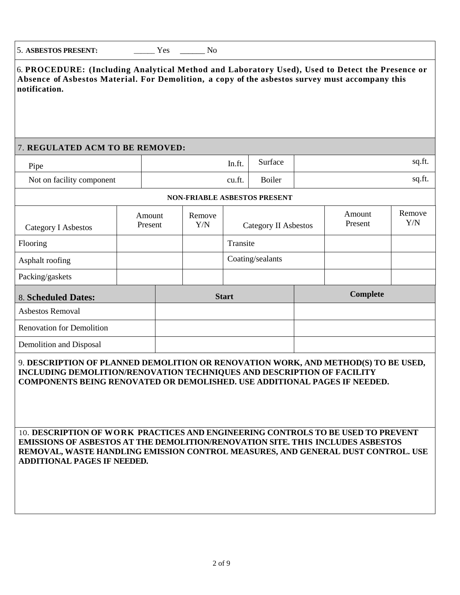6. **PROCEDURE: (Including Analytical Method and Laboratory Used), Used to Detect the Presence or Absence of Asbestos Material. For Demolition, a copy of the asbestos survey must accompany this notification.**

# 7. **REGULATED ACM TO BE REMOVED:**

| Pipe                      | ln.tt. | surtace       | su.it |
|---------------------------|--------|---------------|-------|
| Not on facility component | cu.ft. | <b>Boiler</b> | su.u  |

|                                  |                   |              |               | <b>NON-FRIABLE ASBESTOS PRESENT</b> |                   |               |
|----------------------------------|-------------------|--------------|---------------|-------------------------------------|-------------------|---------------|
| <b>Category I Asbestos</b>       | Amount<br>Present |              | Remove<br>Y/N | Category II Asbestos                | Amount<br>Present | Remove<br>Y/N |
| Flooring                         |                   |              |               | Transite                            |                   |               |
| Asphalt roofing                  |                   |              |               | Coating/sealants                    |                   |               |
| Packing/gaskets                  |                   |              |               |                                     |                   |               |
| 8. Scheduled Dates:              |                   | <b>Start</b> |               | <b>Complete</b>                     |                   |               |
| Asbestos Removal                 |                   |              |               |                                     |                   |               |
| <b>Renovation for Demolition</b> |                   |              |               |                                     |                   |               |
| Demolition and Disposal          |                   |              |               |                                     |                   |               |

9. **DESCRIPTION OF PLANNED DEMOLITION OR RENOVATION WORK, AND METHOD(S) TO BE USED, INCLUDING DEMOLITION/RENOVATION TECHNIQUES AND DESCRIPTION OF FACILITY COMPONENTS BEING RENOVATED OR DEMOLISHED. USE ADDITIONAL PAGES IF NEEDED.**

10. **DESCRIPTION OF WORK PRACTICES AND ENGINEERING CONTROLS TO BE USED TO PREVENT EMISSIONS OF ASBESTOS AT THE DEMOLITION/RENOVATION SITE. THIS INCLUDES ASBESTOS REMOVAL, WASTE HANDLING EMISSION CONTROL MEASURES, AND GENERAL DUST CONTROL. USE ADDITIONAL PAGES IF NEEDED.**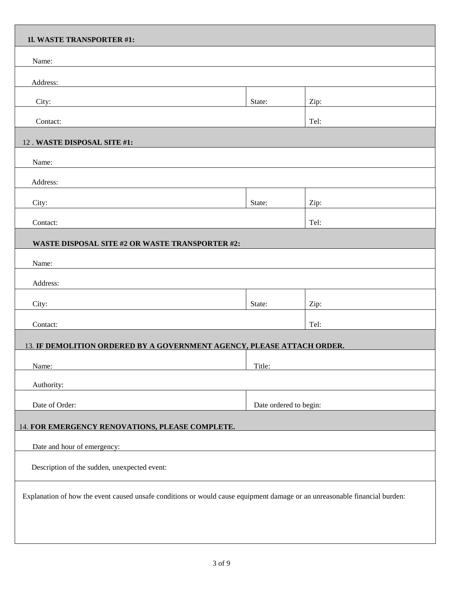| 11. WASTE TRANSPORTER #1:                                                                                                  |                        |      |  |  |
|----------------------------------------------------------------------------------------------------------------------------|------------------------|------|--|--|
| Name:                                                                                                                      |                        |      |  |  |
| Address:                                                                                                                   |                        |      |  |  |
| City:                                                                                                                      | State:                 | Zip: |  |  |
| Contact:                                                                                                                   |                        | Tel: |  |  |
| 12. WASTE DISPOSAL SITE #1:                                                                                                |                        |      |  |  |
| Name:                                                                                                                      |                        |      |  |  |
| Address:                                                                                                                   |                        |      |  |  |
| City:                                                                                                                      | State:                 | Zip: |  |  |
| Contact:                                                                                                                   |                        | Tel: |  |  |
|                                                                                                                            |                        |      |  |  |
| WASTE DISPOSAL SITE #2 OR WASTE TRANSPORTER #2:                                                                            |                        |      |  |  |
| Name:                                                                                                                      |                        |      |  |  |
| Address:                                                                                                                   |                        |      |  |  |
| City:                                                                                                                      | State:                 | Zip: |  |  |
| Contact:                                                                                                                   |                        | Tel: |  |  |
| 13. IF DEMOLITION ORDERED BY A GOVERNMENT AGENCY, PLEASE ATTACH ORDER.                                                     |                        |      |  |  |
| Name:                                                                                                                      | Title:                 |      |  |  |
| Authority:                                                                                                                 |                        |      |  |  |
| Date of Order:                                                                                                             | Date ordered to begin: |      |  |  |
| 14. FOR EMERGENCY RENOVATIONS, PLEASE COMPLETE.                                                                            |                        |      |  |  |
| Date and hour of emergency:                                                                                                |                        |      |  |  |
| Description of the sudden, unexpected event:                                                                               |                        |      |  |  |
|                                                                                                                            |                        |      |  |  |
| Explanation of how the event caused unsafe conditions or would cause equipment damage or an unreasonable financial burden: |                        |      |  |  |
|                                                                                                                            |                        |      |  |  |
|                                                                                                                            |                        |      |  |  |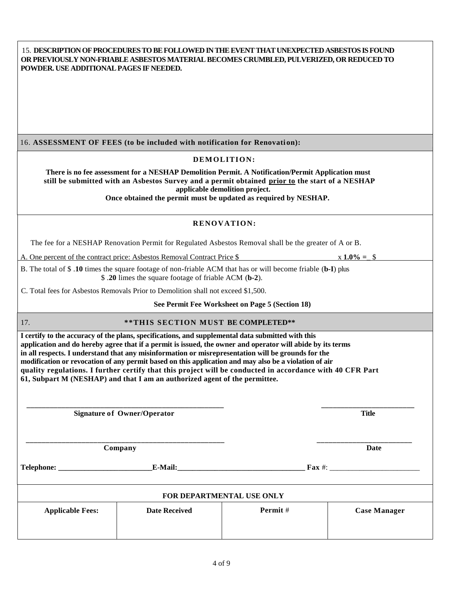| 15. DESCRIPTION OF PROCEDURES TO BE FOLLOWED IN THE EVENT THAT UNEXPECTED ASBESTOS IS FOUND |
|---------------------------------------------------------------------------------------------|
| OR PREVIOUSLY NON-FRIABLE ASBESTOS MATERIAL BECOMES CRUMBLED, PULVERIZED, OR REDUCED TO     |
| <b>POWDER. USE ADDITIONAL PAGES IF NEEDED.</b>                                              |

16. ASSESSMENT OF FEES (to be included with notification for Renovation):

#### DEMOLITION:

 **There is no fee assessment for a NESHAP Demolition Permit. A Notification/Permit Application must still be submitted with an Asbestos Survey and a permit obtained prior to the start of a NESHAP applicable demolition project.**

 **Once obtained the permit must be updated as required by NESHAP.**

### **RENOVATION:**

The fee for a NESHAP Renovation Permit for Regulated Asbestos Removal shall be the greater of A or B.

A. One percent of the contract price: Asbestos Removal Contract Price \$  $x = 1.0\% = 1.0\% = 1.0\% = 1.0\% = 1.0\% = 1.0\% = 1.0\% = 1.0\% = 1.0\% = 1.0\% = 1.0\% = 1.0\% = 1.0\% = 1.0\% = 1.0\% = 1.0\% = 1.0\% = 1.0\% = 1.0\% = 1.0\% = 1.0\% =$ 

B. The total of \$ .**10** times the square footage of non-friable ACM that has or will become friable (**b-I**) plus \$ .**20** limes the square footage of friable ACM (**b-2**).

C. Total fees for Asbestos Removals Prior to Demolition shall not exceed \$1,500.

 **See Permit Fee Worksheet on Page 5 (Section 18)**

## 17. **\*\*\*THIS SECTION MUST BE COMPLETED\*\***

**I certify to the accuracy of the plans, specifications, and supplemental data submitted with this application and do hereby agree that if a permit is issued, the owner and operator will abide by its terms in all respects. I understand that any misinformation or misrepresentation will be grounds for the modification or revocation of any permit based on this application and may also be a violation of air quality regulations. I further certify that this project will be conducted in accordance with 40 CFR Part 61, Subpart M (NESHAP) and that I am an authorized agent of the permittee.**

 **\_\_\_\_\_\_\_\_\_\_\_\_\_\_\_\_\_\_\_\_\_\_\_\_\_\_\_\_\_\_\_\_\_\_\_\_\_\_\_\_\_\_\_\_\_\_\_\_\_\_\_ \_\_\_\_\_\_\_\_\_\_\_\_\_\_\_\_\_\_\_\_\_\_\_\_ Signature of Owner/Operator Title**

 **Company Date** 

**Telephone: \_\_\_\_\_\_\_\_\_\_\_\_\_\_\_\_\_\_\_\_\_\_\_\_\_E-Mail:\_\_\_\_\_\_\_\_\_\_\_\_\_\_\_\_\_\_\_\_\_\_\_\_\_\_\_\_\_\_\_\_\_\_ Fax** #: \_\_\_\_\_\_\_\_\_\_\_\_\_\_\_\_\_\_\_\_\_\_\_\_

| FOR DEPARTMENTAL USE ONLY |                     |  |  |  |  |
|---------------------------|---------------------|--|--|--|--|
| Permit #                  | <b>Case Manager</b> |  |  |  |  |
|                           |                     |  |  |  |  |
|                           |                     |  |  |  |  |

 **\_\_\_\_\_\_\_\_\_\_\_\_\_\_\_\_\_\_\_\_\_\_\_\_\_\_\_\_\_\_\_\_\_\_\_\_\_\_\_\_\_\_\_\_\_\_\_\_\_\_ \_\_\_\_\_\_\_\_\_\_\_\_\_\_\_\_\_\_\_\_\_\_\_\_**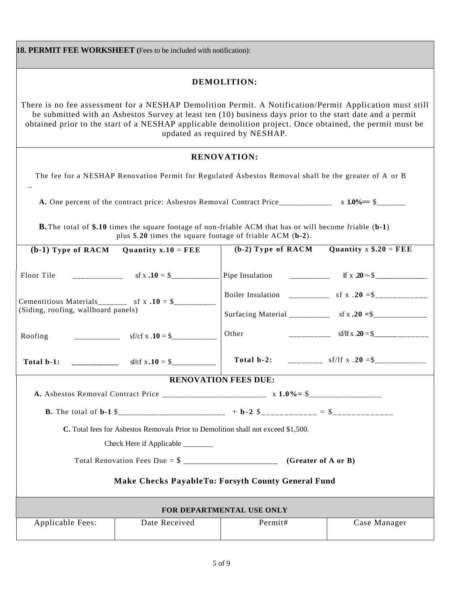|                                                                                                                                                                                                                                                                                                                                                                    | 18. PERMIT FEE WORKSHEET (Fees to be included with notification): |                                                                                                                  |                                                           |  |  |
|--------------------------------------------------------------------------------------------------------------------------------------------------------------------------------------------------------------------------------------------------------------------------------------------------------------------------------------------------------------------|-------------------------------------------------------------------|------------------------------------------------------------------------------------------------------------------|-----------------------------------------------------------|--|--|
|                                                                                                                                                                                                                                                                                                                                                                    |                                                                   | DEMOLITION:                                                                                                      |                                                           |  |  |
| There is no fee assessment for a NESHAP Demolition Permit. A Notification/Permit Application must still<br>be submitted with an Asbestos Survey at least ten (10) business days prior to the start date and a permit<br>obtained prior to the start of a NESHAP applicable demolition project. Once obtained, the permit must be<br>updated as required by NESHAP. |                                                                   |                                                                                                                  |                                                           |  |  |
|                                                                                                                                                                                                                                                                                                                                                                    |                                                                   | <b>RENOVATION:</b>                                                                                               |                                                           |  |  |
|                                                                                                                                                                                                                                                                                                                                                                    |                                                                   | The fee for a NESHAP Renovation Permit for Regulated Asbestos Removal shall be the greater of A or B             |                                                           |  |  |
|                                                                                                                                                                                                                                                                                                                                                                    |                                                                   |                                                                                                                  |                                                           |  |  |
|                                                                                                                                                                                                                                                                                                                                                                    | plus \$.20 times the square footage of friable ACM (b-2).         | <b>B.</b> The total of \$.10 times the square footage of non-friable ACM that has or will become friable (b-1)   |                                                           |  |  |
| $(b-1)$ Type of RACM                                                                                                                                                                                                                                                                                                                                               | Quantity $x.10 = FEE$                                             | $(b-2)$ Type of RACM                                                                                             | Quantity $x $.20 = FEE$                                   |  |  |
| Floor Tile                                                                                                                                                                                                                                                                                                                                                         | $-$ f x $.10 = $$                                                 | Pipe Insulation __________ If x $20 = $$                                                                         |                                                           |  |  |
|                                                                                                                                                                                                                                                                                                                                                                    | Cementitious Materials________ sf x $.10 =$ \$__________          |                                                                                                                  |                                                           |  |  |
| (Siding, roofing, wallboard panels)                                                                                                                                                                                                                                                                                                                                |                                                                   |                                                                                                                  | Surfacing Material ___________ sf x .20 = \$_____________ |  |  |
| Roofing                                                                                                                                                                                                                                                                                                                                                            | $-$ sf/cf x .10 = \$                                              | Other                                                                                                            | $-$ sf/lf x .20 = \$                                      |  |  |
| Total b-1:                                                                                                                                                                                                                                                                                                                                                         | sf/cf $x . 10 = $$                                                |                                                                                                                  | Total b-2: __________ sf/lf x .20 =\$____________         |  |  |
|                                                                                                                                                                                                                                                                                                                                                                    |                                                                   | <b>RENOVATION FEES DUE:</b>                                                                                      |                                                           |  |  |
|                                                                                                                                                                                                                                                                                                                                                                    |                                                                   |                                                                                                                  |                                                           |  |  |
|                                                                                                                                                                                                                                                                                                                                                                    |                                                                   | <b>B.</b> The total of <b>b</b> -1 \$____________________________ + <b>b</b> -2 \$____________ = \$_____________ |                                                           |  |  |
| C. Total fees for Asbestos Removals Prior to Demolition shall not exceed \$1,500.                                                                                                                                                                                                                                                                                  |                                                                   |                                                                                                                  |                                                           |  |  |
| Check Here if Applicable ________                                                                                                                                                                                                                                                                                                                                  |                                                                   |                                                                                                                  |                                                           |  |  |
| (Greater of A or B)                                                                                                                                                                                                                                                                                                                                                |                                                                   |                                                                                                                  |                                                           |  |  |
| Make Checks PayableTo: Forsyth County General Fund                                                                                                                                                                                                                                                                                                                 |                                                                   |                                                                                                                  |                                                           |  |  |
| FOR DEPARTMENTAL USE ONLY                                                                                                                                                                                                                                                                                                                                          |                                                                   |                                                                                                                  |                                                           |  |  |
| Applicable Fees:                                                                                                                                                                                                                                                                                                                                                   | Date Received                                                     | Permit#                                                                                                          | Case Manager                                              |  |  |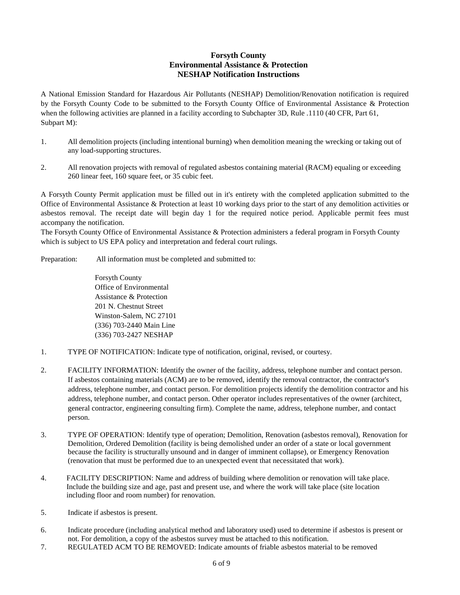## **Forsyth County Environmental Assistance & Protection NESHAP Notification Instructions**

A National Emission Standard for Hazardous Air Pollutants (NESHAP) Demolition/Renovation notification is required by the Forsyth County Code to be submitted to the Forsyth County Office of Environmental Assistance & Protection when the following activities are planned in a facility according to Subchapter 3D, Rule .1110 (40 CFR, Part 61, Subpart M):

- 1. All demolition projects (including intentional burning) when demolition meaning the wrecking or taking out of any load-supporting structures.
- 2. All renovation projects with removal of regulated asbestos containing material (RACM) equaling or exceeding 260 linear feet, 160 square feet, or 35 cubic feet.

A Forsyth County Permit application must be filled out in it's entirety with the completed application submitted to the Office of Environmental Assistance & Protection at least 10 working days prior to the start of any demolition activities or asbestos removal. The receipt date will begin day 1 for the required notice period. Applicable permit fees must accompany the notification.

The Forsyth County Office of Environmental Assistance & Protection administers a federal program in Forsyth County which is subject to US EPA policy and interpretation and federal court rulings.

Preparation: All information must be completed and submitted to:

Forsyth County Office of Environmental Assistance & Protection 201 N. Chestnut Street Winston-Salem, NC 27101 (336) 703-2440 Main Line (336) 703-2427 NESHAP

- 1. TYPE OF NOTIFICATION: Indicate type of notification, original, revised, or courtesy.
- 2. FACILITY INFORMATION: Identify the owner of the facility, address, telephone number and contact person. If asbestos containing materials (ACM) are to be removed, identify the removal contractor, the contractor's address, telephone number, and contact person. For demolition projects identify the demolition contractor and his address, telephone number, and contact person. Other operator includes representatives of the owner (architect, general contractor, engineering consulting firm). Complete the name, address, telephone number, and contact person.
- 3. TYPE OF OPERATION: Identify type of operation; Demolition, Renovation (asbestos removal), Renovation for Demolition, Ordered Demolition (facility is being demolished under an order of a state or local government because the facility is structurally unsound and in danger of imminent collapse), or Emergency Renovation (renovation that must be performed due to an unexpected event that necessitated that work).
- 4. FACILITY DESCRIPTION: Name and address of building where demolition or renovation will take place. Include the building size and age, past and present use, and where the work will take place (site location including floor and room number) for renovation.
- 5. Indicate if asbestos is present.
- 6. Indicate procedure (including analytical method and laboratory used) used to determine if asbestos is present or not. For demolition, a copy of the asbestos survey must be attached to this notification.
- 7. REGULATED ACM TO BE REMOVED: Indicate amounts of friable asbestos material to be removed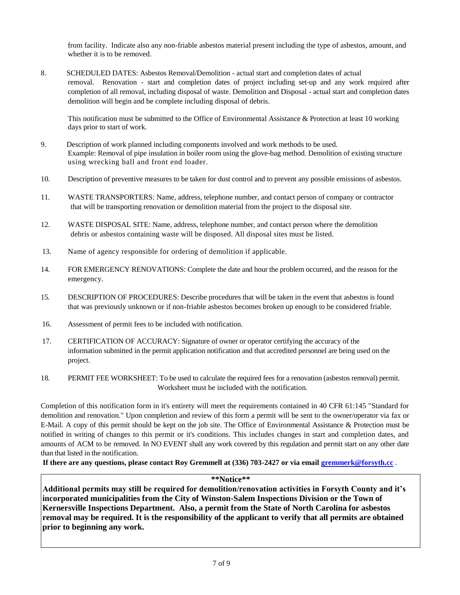from facility. Indicate also any non-friable asbestos material present including the type of asbestos, amount, and whether it is to be removed.

8. SCHEDULED DATES: Asbestos Removal/Demolition - actual start and completion dates of actual removal. Renovation - start and completion dates of project including set-up and any work required after completion of all removal, including disposal of waste. Demolition and Disposal - actual start and completion dates demolition will begin and be complete including disposal of debris.

This notification must be submitted to the Office of Environmental Assistance & Protection at least 10 working days prior to start of work.

- 9. Description of work planned including components involved and work methods to be used. Example: Removal of pipe insulation in boiler room using the glove-bag method. Demolition of existing structure using wrecking ball and front end loader.
- 10. Description of preventive measures to be taken for dust control and to prevent any possible emissions of asbestos.
- 11. WASTE TRANSPORTERS: Name, address, telephone number, and contact person of company or contractor that will be transporting renovation or demolition material from the project to the disposal site.
- 12. WASTE DISPOSAL SITE: Name, address, telephone number, and contact person where the demolition debris or asbestos containing waste will be disposed. All disposal sites must be listed.
- 13. Name of agency responsible for ordering of demolition if applicable.
- 14. FOR EMERGENCY RENOVATIONS: Complete the date and hour the problem occurred, and the reason for the emergency.
- 15. DESCRIPTION OF PROCEDURES: Describe procedures that will be taken in the event that asbestos is found that was previously unknown or if non-friable asbestos becomes broken up enough to be considered friable.
- 16. Assessment of permit fees to be included with notification.
- 17. CERTIFICATION OF ACCURACY: Signature of owner or operator certifying the accuracy of the information submitted in the permit application notification and that accredited personnel are being used on the project.
- 18. PERMIT FEE WORKSHEET: To be used to calculate the required fees for a renovation (asbestos removal) permit. Worksheet must be included with the notification.

Completion of this notification form in it's entirety will meet the requirements contained in 40 CFR 61:145 "Standard for demolition and renovation." Upon completion and review of this form a permit will be sent to the owner/operator via fax or E-Mail. A copy of this permit should be kept on the job site. The Office of Environmental Assistance & Protection must be notified in writing of changes to this permit or it's conditions. This includes changes in start and completion dates, and amounts of ACM to be removed. In NO EVENT shall any work covered by this regulation and permit start on any other date than that listed in the notification.

**If there are any questions, please contact Roy Gremmell at (336) 703-2427 or via email [gremmerk@forsyth.cc](mailto:gremmerk@forsyth.cc)** .

**\*\*Notice\*\***

**Additional permits may still be required for demolition/renovation activities in Forsyth County and it's incorporated municipalities from the City of Winston-Salem Inspections Division or the Town of Kernersville Inspections Department. Also, a permit from the State of North Carolina for asbestos removal may be required. It is the responsibility of the applicant to verify that all permits are obtained prior to beginning any work.**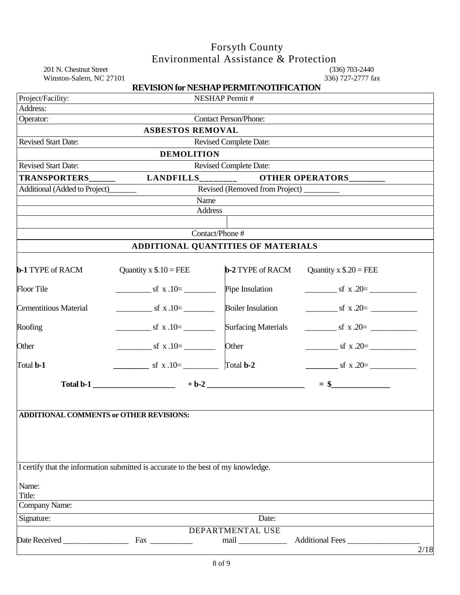# Forsyth County Environmental Assistance & Protection

201 N. Chestnut Street (336) 703-2440<br>Winston-Salem, NC 27101 336) 727-2777 fax Winston-Salem, NC 27101

|                                                | <b>REVISION for NESHAP PERMIT/NOTIFICATION</b>                                    |                               |                                             |      |  |  |
|------------------------------------------------|-----------------------------------------------------------------------------------|-------------------------------|---------------------------------------------|------|--|--|
| Project/Facility:                              |                                                                                   | <b>NESHAP Permit#</b>         |                                             |      |  |  |
| Address:                                       |                                                                                   |                               |                                             |      |  |  |
| Operator:                                      |                                                                                   | Contact Person/Phone:         |                                             |      |  |  |
|                                                | <b>ASBESTOS REMOVAL</b>                                                           |                               |                                             |      |  |  |
| <b>Revised Start Date:</b>                     |                                                                                   | <b>Revised Complete Date:</b> |                                             |      |  |  |
|                                                | <b>DEMOLITION</b>                                                                 |                               |                                             |      |  |  |
| <b>Revised Start Date:</b>                     |                                                                                   | Revised Complete Date:        |                                             |      |  |  |
| <b>TRANSPORTERS</b>                            | $LANDFILLS$ <sub>_________</sub>                                                  |                               | OTHER OPERATORS_______                      |      |  |  |
| Additional (Added to Project)                  |                                                                                   |                               |                                             |      |  |  |
|                                                | Name                                                                              |                               |                                             |      |  |  |
|                                                | Address                                                                           |                               |                                             |      |  |  |
|                                                |                                                                                   |                               |                                             |      |  |  |
|                                                | Contact/Phone #                                                                   |                               |                                             |      |  |  |
|                                                | ADDITIONAL QUANTITIES OF MATERIALS                                                |                               |                                             |      |  |  |
| <b>b-1 TYPE of RACM</b>                        | Quantity x $\$$ .10 = FEE                                                         | <b>b-2 TYPE of RACM</b>       | Quantity x $\$$ .20 = FEE                   |      |  |  |
| <b>Floor Tile</b>                              | $\frac{\text{sf x.10}}{2}$                                                        | Pipe Insulation               | $\frac{\text{sf x } 20 =$                   |      |  |  |
| <b>Cementitious Material</b>                   | $\frac{\text{sf x.10}}{2}$ sf x.10=                                               | <b>Boiler Insulation</b>      | $\frac{\text{sf x } 20=}{\text{sf x } 20=}$ |      |  |  |
| Roofing                                        | $\frac{\text{sf x.10}}{2}$                                                        | <b>Surfacing Materials</b>    | $\leq$ sf x .20=                            |      |  |  |
| Other                                          | $\frac{\text{sf x.10}}{2}$ sf x.10=                                               | Other                         | $\frac{\text{sf x } 20=$                    |      |  |  |
| Total <b>b-1</b>                               | $\frac{\text{sf x.10}}{2}$ sf x.10=                                               | Total <b>b-2</b>              | $\text{sf x } .20=$                         |      |  |  |
|                                                | Total b-1 $+ b-2$                                                                 |                               | $=$ \$                                      |      |  |  |
| <b>ADDITIONAL COMMENTS or OTHER REVISIONS:</b> |                                                                                   |                               |                                             |      |  |  |
|                                                | I certify that the information submitted is accurate to the best of my knowledge. |                               |                                             |      |  |  |
| Name:<br>Title:                                |                                                                                   |                               |                                             |      |  |  |
| Company Name:                                  |                                                                                   |                               |                                             |      |  |  |
| Signature:                                     |                                                                                   | Date:                         |                                             |      |  |  |
|                                                |                                                                                   | DEPARTMENTAL USE              |                                             |      |  |  |
|                                                | $Fax \_$                                                                          |                               | Additional Fees_                            |      |  |  |
|                                                |                                                                                   |                               |                                             | 2/18 |  |  |